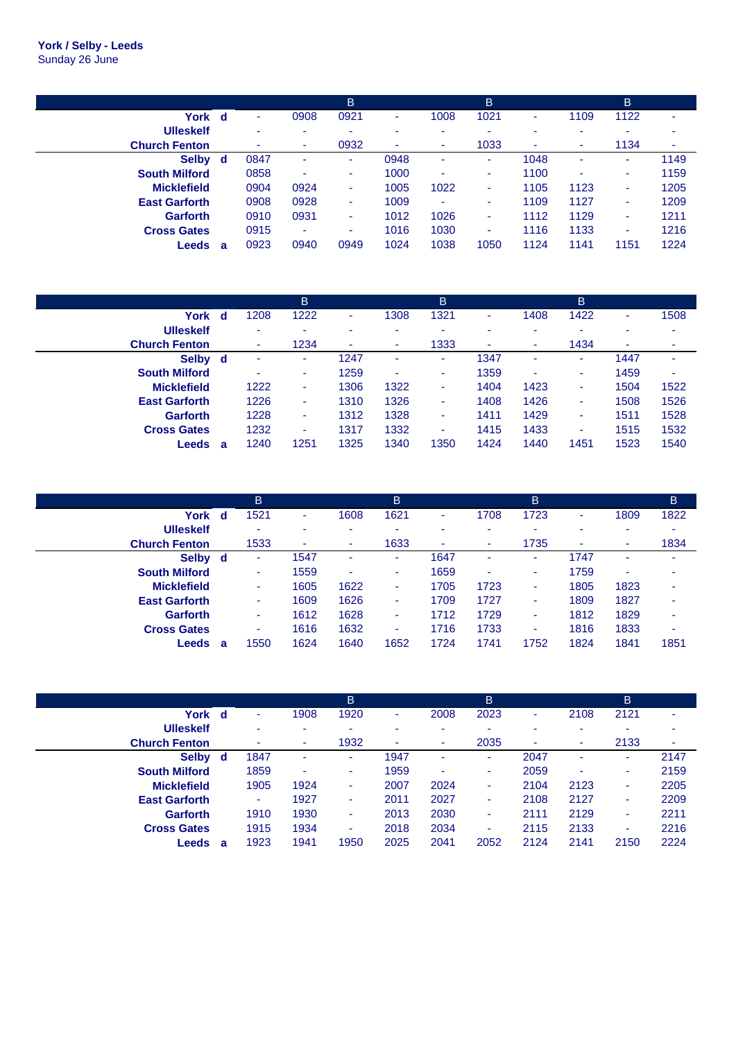**York / Selby - Leeds** Sunday 26 June

|                      |   |      |      | B    |      |      | B                        |      |      | B    |      |
|----------------------|---|------|------|------|------|------|--------------------------|------|------|------|------|
| York                 | d | ۰    | 0908 | 0921 | ٠    | 1008 | 1021                     | ۰    | 1109 | 1122 | ۰    |
| <b>Ulleskelf</b>     |   | ۰    | ۰    | ۰    |      | ۰    | ۰                        | ۰    |      |      | ۰    |
| <b>Church Fenton</b> |   | ۰    | ٠    | 0932 | ۰    | ۰    | 1033                     | ٠    | ۰    | 1134 | ۰    |
| Selby d              |   | 0847 | ٠    | ۰.   | 0948 | ۰    | $\sim$                   | 1048 |      | ۰    | 1149 |
| <b>South Milford</b> |   | 0858 | ٠    | ٠    | 1000 | ۰    | ٠                        | 1100 | ۰    | ۰    | 1159 |
| <b>Micklefield</b>   |   | 0904 | 0924 |      | 1005 | 1022 | $\overline{\phantom{a}}$ | 1105 | 1123 | ۰    | 1205 |
| <b>East Garforth</b> |   | 0908 | 0928 | ٠    | 1009 | ۰    | ۰                        | 1109 | 1127 | ۰    | 1209 |
| <b>Garforth</b>      |   | 0910 | 0931 | ۰.   | 1012 | 1026 | ٠                        | 1112 | 1129 | ۰    | 1211 |
| <b>Cross Gates</b>   |   | 0915 | ٠    | ٠    | 1016 | 1030 | ٠                        | 1116 | 1133 | ۰    | 1216 |
| Leeds                | a | 0923 | 0940 | 0949 | 1024 | 1038 | 1050                     | 1124 | 1141 | 1151 | 1224 |

|                      |   |      | B    |      |      | B    |      |      | B                        |      |      |
|----------------------|---|------|------|------|------|------|------|------|--------------------------|------|------|
| York                 | d | 1208 | 1222 |      | 1308 | 1321 | ۰    | 1408 | 1422                     |      | 1508 |
| <b>Ulleskelf</b>     |   | ۰    | ۰    |      |      | -    | ۰    | ۰    | -                        |      |      |
| <b>Church Fenton</b> |   |      | 1234 | ٠    | ۰.   | 1333 | ۰    | ۰    | 1434                     | ۰    | ۰    |
| Selby d              |   |      | ٠    | 1247 |      | ۰    | 1347 | ۰    | ۰.                       | 1447 |      |
| <b>South Milford</b> |   | ۰    | ٠    | 1259 | ٠    | ۰    | 1359 | ٠    | ۰                        | 1459 | ۰    |
| <b>Micklefield</b>   |   | 1222 | ٠    | 1306 | 1322 | ۰    | 1404 | 1423 | $\overline{\phantom{a}}$ | 1504 | 1522 |
| <b>East Garforth</b> |   | 1226 | ٠    | 1310 | 1326 | ۰    | 1408 | 1426 | ۰                        | 1508 | 1526 |
| <b>Garforth</b>      |   | 1228 | ٠    | 1312 | 1328 | ٠    | 1411 | 1429 | ٠                        | 1511 | 1528 |
| <b>Cross Gates</b>   |   | 1232 | ٠    | 1317 | 1332 | ٠    | 1415 | 1433 | ٠                        | 1515 | 1532 |
| Leeds                | а | 1240 | 1251 | 1325 | 1340 | 1350 | 1424 | 1440 | 1451                     | 1523 | 1540 |

|                      |    | B    |      |                          | B    |      |      | B    |      |      | B    |
|----------------------|----|------|------|--------------------------|------|------|------|------|------|------|------|
| York                 | d  | 1521 | ٠    | 1608                     | 1621 | ۰    | 1708 | 1723 | ۰    | 1809 | 1822 |
| <b>Ulleskelf</b>     |    | ۰    | ۰    |                          |      |      |      | ۰    |      |      |      |
| <b>Church Fenton</b> |    | 1533 | ٠    | ٠                        | 1633 | ۰    | ۰    | 1735 | ٠    | ۰    | 1834 |
| <b>Selby</b>         | d. | ۰    | 1547 |                          | ۰.   | 1647 |      | ٠    | 1747 |      | ۰    |
| <b>South Milford</b> |    | ۰    | 1559 | $\overline{\phantom{a}}$ |      | 1659 | ۰    | ٠    | 1759 |      | ۰    |
| <b>Micklefield</b>   |    | ۰    | 1605 | 1622                     | ۰    | 1705 | 1723 | ٠    | 1805 | 1823 |      |
| <b>East Garforth</b> |    | ٠    | 1609 | 1626                     | ٠    | 1709 | 1727 | ٠    | 1809 | 1827 | ۰    |
| <b>Garforth</b>      |    | ۰    | 1612 | 1628                     |      | 1712 | 1729 | ٠    | 1812 | 1829 | ۰    |
| <b>Cross Gates</b>   |    | ۰    | 1616 | 1632                     | ۰    | 1716 | 1733 | ٠    | 1816 | 1833 | ٠    |
| Leeds                | а  | 1550 | 1624 | 1640                     | 1652 | 1724 | 1741 | 1752 | 1824 | 1841 | 1851 |

|                      |     |      |                          | <b>B</b> |      |      | B    |      |      | B    |      |
|----------------------|-----|------|--------------------------|----------|------|------|------|------|------|------|------|
| York                 | - d | ۰    | 1908                     | 1920     | ٠    | 2008 | 2023 | ٠    | 2108 | 2121 | ۰    |
| <b>Ulleskelf</b>     |     | -    | $\overline{\phantom{a}}$ | ۰        |      | -    | ۰    | ۰    | ۰    |      |      |
| <b>Church Fenton</b> |     | ۰    | ٠                        | 1932     | ۰    | ۰    | 2035 | ٠    | ٠    | 2133 | ٠    |
| <b>Selby</b>         | d.  | 1847 | ٠                        | ۰.       | 1947 | ٠    | ۰    | 2047 | ٠    | ۰    | 2147 |
| <b>South Milford</b> |     | 1859 | ٠                        |          | 1959 | ۰    |      | 2059 | ۰    |      | 2159 |
| <b>Micklefield</b>   |     | 1905 | 1924                     | ۰        | 2007 | 2024 |      | 2104 | 2123 |      | 2205 |
| <b>East Garforth</b> |     | ٠    | 1927                     | ۰        | 2011 | 2027 | ۰    | 2108 | 2127 |      | 2209 |
| Garforth             |     | 1910 | 1930                     | ٠        | 2013 | 2030 | ٠    | 2111 | 2129 | ٠    | 2211 |
| <b>Cross Gates</b>   |     | 1915 | 1934                     | ۰        | 2018 | 2034 | ۰    | 2115 | 2133 |      | 2216 |
| Leeds                | a   | 1923 | 1941                     | 1950     | 2025 | 2041 | 2052 | 2124 | 2141 | 2150 | 2224 |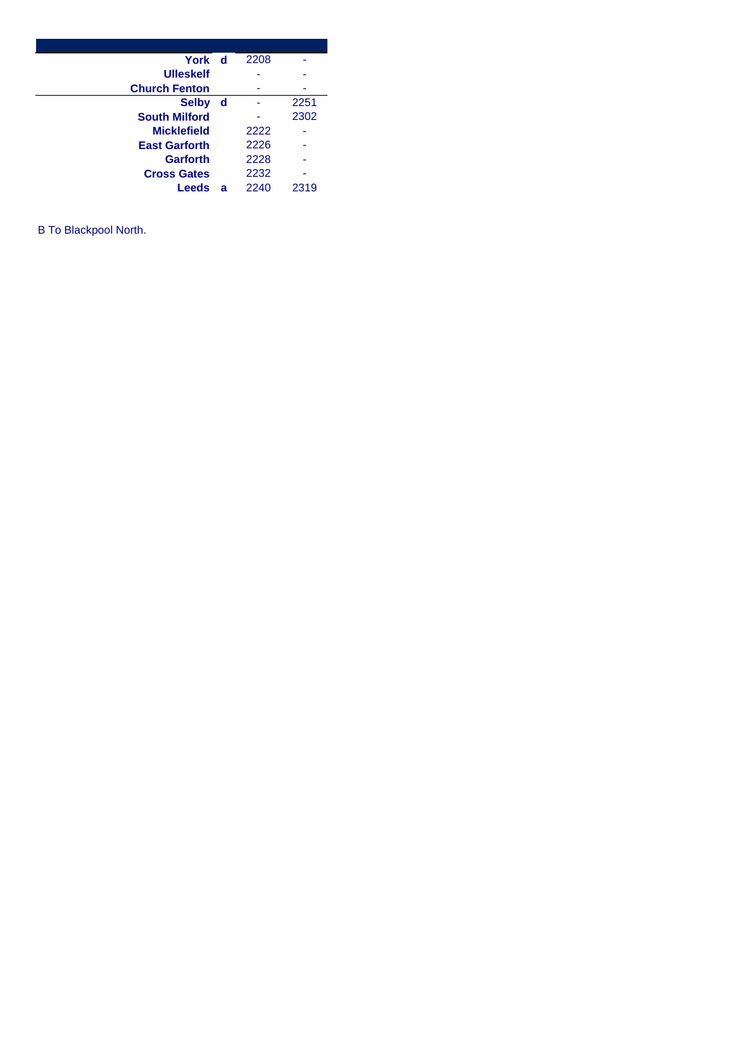| York d               |     | 2208 |      |
|----------------------|-----|------|------|
| <b>Ulleskelf</b>     |     |      |      |
| <b>Church Fenton</b> |     |      |      |
| <b>Selby</b>         | ∣ d |      | 2251 |
| <b>South Milford</b> |     |      | 2302 |
| <b>Micklefield</b>   |     | 2222 |      |
| <b>East Garforth</b> |     | 2226 |      |
| <b>Garforth</b>      |     | 2228 |      |
| <b>Cross Gates</b>   |     | 2232 |      |
| Leeds                | a   | 2240 | 2319 |

B To Blackpool North.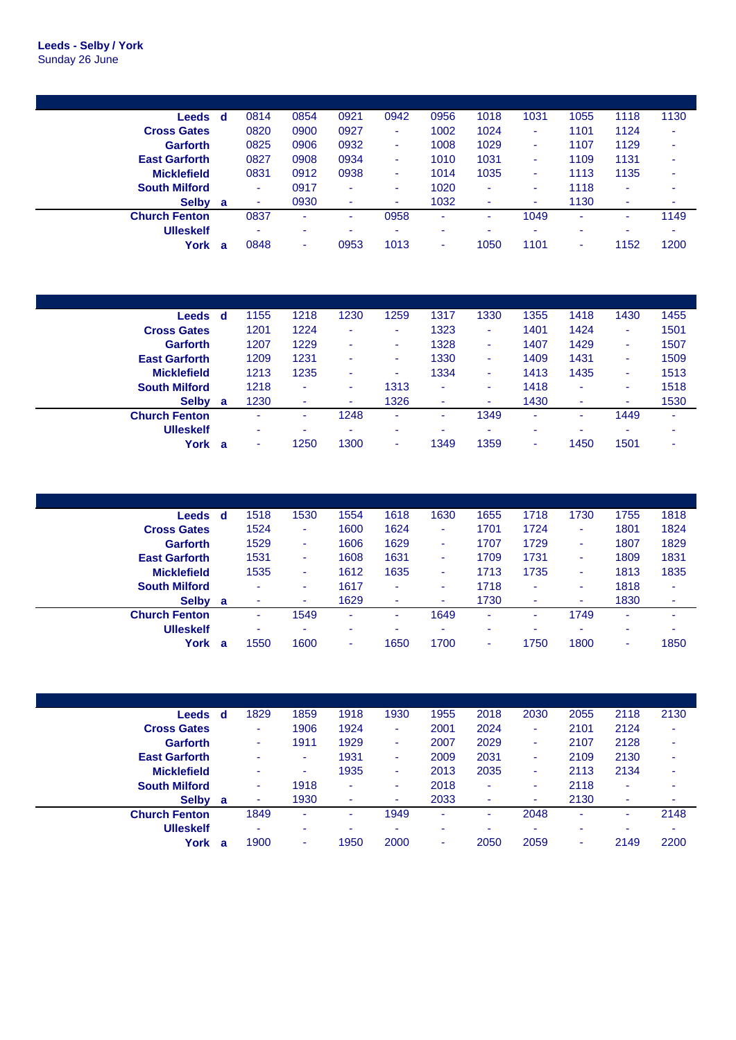| Leeds                | d | 0814 | 0854 | 0921                     | 0942                     | 0956 | 1018 | 1031 | 1055 | 1118 | 1130 |
|----------------------|---|------|------|--------------------------|--------------------------|------|------|------|------|------|------|
| <b>Cross Gates</b>   |   | 0820 | 0900 | 0927                     | ٠                        | 1002 | 1024 | ۰    | 1101 | 1124 | ۰    |
| <b>Garforth</b>      |   | 0825 | 0906 | 0932                     | ٠                        | 1008 | 1029 | ۰    | 1107 | 1129 | -    |
| <b>East Garforth</b> |   | 0827 | 0908 | 0934                     | ٠                        | 1010 | 1031 | ۰    | 1109 | 1131 |      |
| <b>Micklefield</b>   |   | 0831 | 0912 | 0938                     | ۰.                       | 1014 | 1035 | ۰    | 1113 | 1135 | ۰    |
| <b>South Milford</b> |   |      | 0917 | $\overline{\phantom{a}}$ | $\sim$                   | 1020 | ٠    | ۰    | 1118 |      |      |
| Selby a              |   | ۰    | 0930 | ۰                        | ۰                        | 1032 | ٠    | ۰    | 1130 | ۰    |      |
| <b>Church Fenton</b> |   | 0837 | ۰    | ٠                        | 0958                     | ٠    | ٠    | 1049 | ٠    | ۰    | 1149 |
| <b>Ulleskelf</b>     |   | ۰    | ۰    | ۰                        | $\overline{\phantom{a}}$ | -    |      | ۰    | ۰    |      |      |
| York                 | а | 0848 | ۰    | 0953                     | 1013                     | ۰    | 1050 | 1101 | ۰    | 1152 | 1200 |

| Leeds                | d | 1155   | 1218 | 1230 | 1259 | 1317 | 1330 | 1355 | 1418 | 1430                     | 1455 |
|----------------------|---|--------|------|------|------|------|------|------|------|--------------------------|------|
| <b>Cross Gates</b>   |   | 1201   | 1224 | ۰    | ۰    | 1323 | ٠    | 1401 | 1424 | ۰                        | 1501 |
| <b>Garforth</b>      |   | 1207   | 1229 | ۰    | ۰    | 1328 | ۰    | 1407 | 1429 | ۰                        | 1507 |
| <b>East Garforth</b> |   | 1209   | 1231 |      | ۰    | 1330 | ٠    | 1409 | 1431 | ۰                        | 1509 |
| <b>Micklefield</b>   |   | 1213   | 1235 |      | ۰    | 1334 | ٠    | 1413 | 1435 | ۰                        | 1513 |
| <b>South Milford</b> |   | 1218   | ۰    |      | 1313 | ٠    | ٠    | 1418 | ۰    | ۰                        | 1518 |
| <b>Selby</b>         | a | 1230   | ۰    | ۰    | 1326 | ۰    | ٠    | 1430 | ۰    | $\overline{\phantom{a}}$ | 1530 |
| <b>Church Fenton</b> |   | $\sim$ | ۰    | 1248 | ۰    |      | 1349 | ۰    |      | 1449                     | ۰    |
| <b>Ulleskelf</b>     |   | ۰      |      |      |      | ۰    | ۰    |      |      |                          | ۰    |
| York                 | a | ۰      | 1250 | 1300 | ۰    | 1349 | 1359 | ۰    | 1450 | 1501                     | ۰    |

| Leeds                | d | 1518 | 1530                     | 1554 | 1618 | 1630 | 1655 | 1718 | 1730 | 1755                     | 1818   |
|----------------------|---|------|--------------------------|------|------|------|------|------|------|--------------------------|--------|
| <b>Cross Gates</b>   |   | 1524 | ٠                        | 1600 | 1624 | ۰    | 1701 | 1724 | ۰    | 1801                     | 1824   |
| <b>Garforth</b>      |   | 1529 | ٠                        | 1606 | 1629 | ۰    | 1707 | 1729 | ۰    | 1807                     | 1829   |
| <b>East Garforth</b> |   | 1531 | ٠                        | 1608 | 1631 | ۰    | 1709 | 1731 | ٠    | 1809                     | 1831   |
| <b>Micklefield</b>   |   | 1535 | ٠                        | 1612 | 1635 | ۰    | 1713 | 1735 | ۰    | 1813                     | 1835   |
| <b>South Milford</b> |   | ۰    | ٠                        | 1617 | ۰    | ۰    | 1718 | ۰    | ٠    | 1818                     | ۰      |
| <b>Selby</b>         | a | ٠    | ٠                        | 1629 | ۰    | ۰    | 1730 | ۰    | ۰    | 1830                     | ٠      |
| <b>Church Fenton</b> |   | ۰    | 1549                     | ۰    | ۰    | 1649 | ٠    | ۰    | 1749 |                          | ۰      |
| <b>Ulleskelf</b>     |   | ٠    | $\overline{\phantom{a}}$ |      | ۰    | ۰    | ۰    | ۰    | ۰    | ۰                        | $\sim$ |
| York                 | a | 1550 | 1600                     | ۰    | 1650 | 1700 | ٠    | 1750 | 1800 | $\overline{\phantom{a}}$ | 1850   |

| Leeds                | - d      | 1829                     | 1859 | 1918 | 1930 | 1955 | 2018 | 2030 | 2055 | 2118 | 2130 |
|----------------------|----------|--------------------------|------|------|------|------|------|------|------|------|------|
| <b>Cross Gates</b>   |          | ۰                        | 1906 | 1924 | ۰    | 2001 | 2024 |      | 2101 | 2124 | ۰    |
| <b>Garforth</b>      |          | ٠                        | 1911 | 1929 | ۰    | 2007 | 2029 |      | 2107 | 2128 | ۰    |
| <b>East Garforth</b> |          | -                        |      | 1931 | ۰    | 2009 | 2031 | ۰    | 2109 | 2130 | ۰    |
| <b>Micklefield</b>   |          | $\overline{\phantom{a}}$ |      | 1935 | ۰    | 2013 | 2035 | ۰    | 2113 | 2134 | ۰    |
| <b>South Milford</b> |          | ٠                        | 1918 | ۰    | ۰    | 2018 | ۰    | ۰    | 2118 |      | ۰    |
| <b>Selby</b>         | <b>a</b> | ۰                        | 1930 | ۰    |      | 2033 | ٠    |      | 2130 | ٠    | ۰    |
| <b>Church Fenton</b> |          | 1849                     | ۰    | ۰    | 1949 | ٠    | ٠    | 2048 |      | ۰    | 2148 |
| <b>Ulleskelf</b>     |          | ۰                        | ۰    | -    | ۰    | ۰    | -    |      |      |      | ۰    |
| York                 | a        | 1900                     | ۰    | 1950 | 2000 | ۰    | 2050 | 2059 | ٠    | 2149 | 2200 |